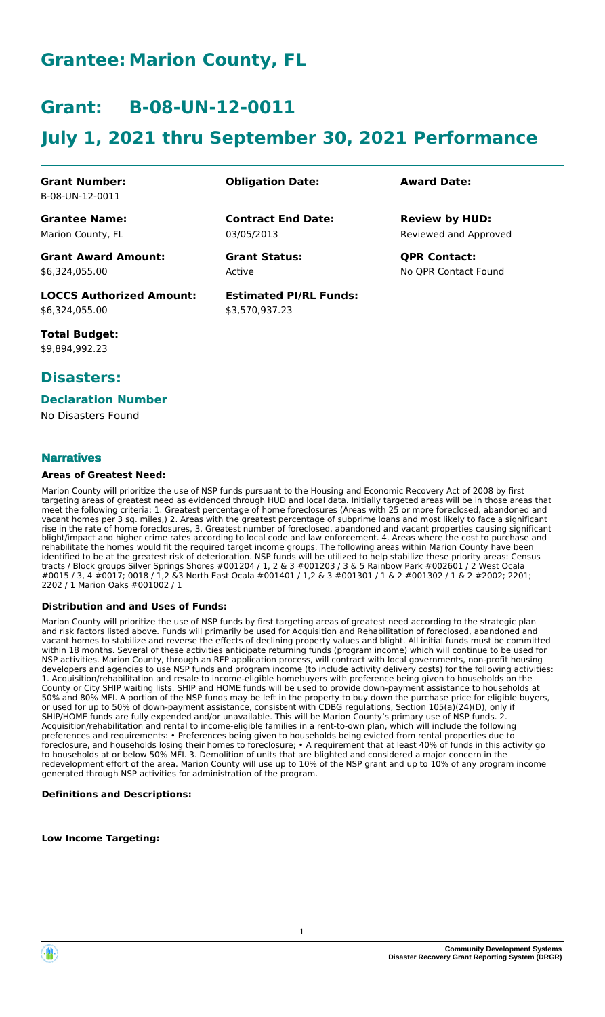# **Grantee: Marion County, FL**

# **Grant: B-08-UN-12-0011**

# **July 1, 2021 thru September 30, 2021 Performance**

#### **Grant Number:** B-08-UN-12-0011

**Grantee Name:** Marion County, FL

**Grant Award Amount:** \$6,324,055.00

**LOCCS Authorized Amount:** \$6,324,055.00

**Total Budget:** \$9,894,992.23

# **Disasters:**

### **Declaration Number**

No Disasters Found

### **Narratives**

#### **Areas of Greatest Need:**

Marion County will prioritize the use of NSP funds pursuant to the Housing and Economic Recovery Act of 2008 by first targeting areas of greatest need as evidenced through HUD and local data. Initially targeted areas will be in those areas that meet the following criteria: 1. Greatest percentage of home foreclosures (Areas with 25 or more foreclosed, abandoned and vacant homes per 3 sq. miles,) 2. Areas with the greatest percentage of subprime loans and most likely to face a significant rise in the rate of home foreclosures, 3. Greatest number of foreclosed, abandoned and vacant properties causing significant blight/impact and higher crime rates according to local code and law enforcement. 4. Areas where the cost to purchase and rehabilitate the homes would fit the required target income groups. The following areas within Marion County have been identified to be at the greatest risk of deterioration. NSP funds will be utilized to help stabilize these priority areas: Census tracts / Block groups Silver Springs Shores #001204 / 1, 2 & 3 #001203 / 3 & 5 Rainbow Park #002601 / 2 West Ocala #0015 / 3, 4 #0017; 0018 / 1,2 &3 North East Ocala #001401 / 1,2 & 3 #001301 / 1 & 2 #001302 / 1 & 2 #2002; 2201; 2202 / 1 Marion Oaks #001002 / 1

#### **Distribution and and Uses of Funds:**

Marion County will prioritize the use of NSP funds by first targeting areas of greatest need according to the strategic plan and risk factors listed above. Funds will primarily be used for Acquisition and Rehabilitation of foreclosed, abandoned and vacant homes to stabilize and reverse the effects of declining property values and blight. All initial funds must be committed within 18 months. Several of these activities anticipate returning funds (program income) which will continue to be used for NSP activities. Marion County, through an RFP application process, will contract with local governments, non-profit housing developers and agencies to use NSP funds and program income (to include activity delivery costs) for the following activities: 1. Acquisition/rehabilitation and resale to income-eligible homebuyers with preference being given to households on the County or City SHIP waiting lists. SHIP and HOME funds will be used to provide down-payment assistance to households at 50% and 80% MFI. A portion of the NSP funds may be left in the property to buy down the purchase price for eligible buyers, or used for up to 50% of down-payment assistance, consistent with CDBG regulations, Section 105(a)(24)(D), only if SHIP/HOME funds are fully expended and/or unavailable. This will be Marion County's primary use of NSP funds. 2. Acquisition/rehabilitation and rental to income-eligible families in a rent-to-own plan, which will include the following preferences and requirements: • Preferences being given to households being evicted from rental properties due to foreclosure, and households losing their homes to foreclosure; • A requirement that at least 40% of funds in this activity go to households at or below 50% MFI. 3. Demolition of units that are blighted and considered a major concern in the redevelopment effort of the area. Marion County will use up to 10% of the NSP grant and up to 10% of any program income generated through NSP activities for administration of the program.

#### **Definitions and Descriptions:**

**Low Income Targeting:**

**Obligation Date: Award Date:**

03/05/2013 **Contract End Date:**

Active **Grant Status: QPR Contact:**

**Estimated PI/RL Funds:** \$3,570,937.23

Reviewed and Approved **Review by HUD:**

No QPR Contact Found

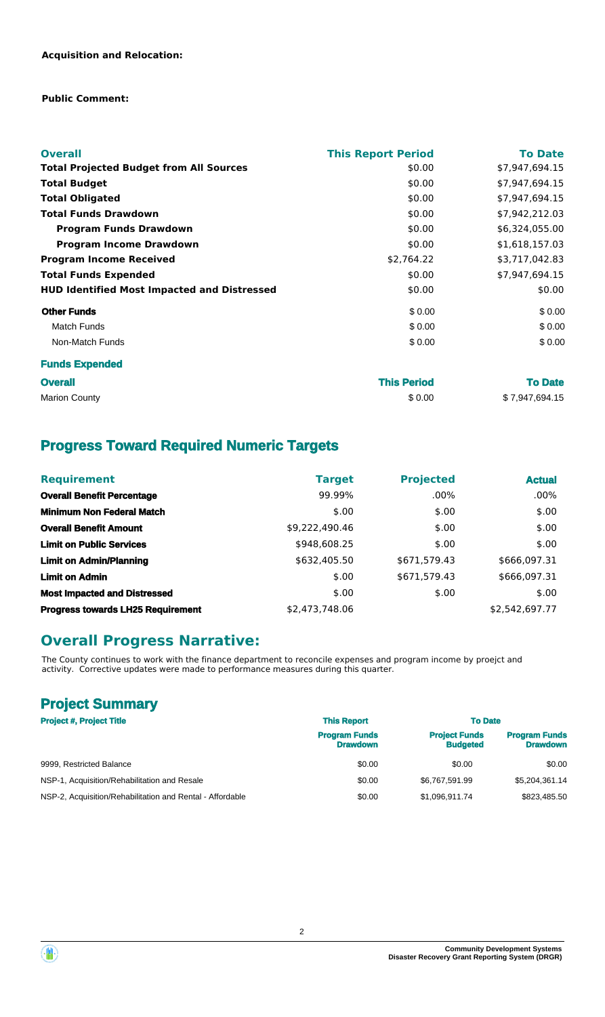### **Public Comment:**

| <b>Overall</b>                                     | <b>This Report Period</b> | <b>To Date</b> |
|----------------------------------------------------|---------------------------|----------------|
| <b>Total Projected Budget from All Sources</b>     | \$0.00                    | \$7,947,694.15 |
| <b>Total Budget</b>                                | \$0.00                    | \$7,947,694.15 |
| <b>Total Obligated</b>                             | \$0.00                    | \$7,947,694.15 |
| <b>Total Funds Drawdown</b>                        | \$0.00                    | \$7,942,212.03 |
| <b>Program Funds Drawdown</b>                      | \$0.00                    | \$6,324,055.00 |
| <b>Program Income Drawdown</b>                     | \$0.00                    | \$1,618,157.03 |
| <b>Program Income Received</b>                     | \$2,764.22                | \$3,717,042.83 |
| <b>Total Funds Expended</b>                        | \$0.00                    | \$7,947,694.15 |
| <b>HUD Identified Most Impacted and Distressed</b> | \$0.00                    | \$0.00         |
| <b>Other Funds</b>                                 | \$0.00                    | \$0.00         |
| <b>Match Funds</b>                                 | \$0.00                    | \$0.00         |
| Non-Match Funds                                    | \$0.00                    | \$0.00         |
| <b>Funds Expended</b>                              |                           |                |
| <b>Overall</b>                                     | <b>This Period</b>        | <b>To Date</b> |
| <b>Marion County</b>                               | \$0.00                    | \$7,947,694.15 |

# **Progress Toward Required Numeric Targets**

| <b>Requirement</b>                       | <b>Target</b>  | <b>Projected</b> | <b>Actual</b>  |
|------------------------------------------|----------------|------------------|----------------|
| <b>Overall Benefit Percentage</b>        | 99.99%         | $.00\%$          | $.00\%$        |
| <b>Minimum Non Federal Match</b>         | \$.00          | \$.00            | \$.00          |
| <b>Overall Benefit Amount</b>            | \$9,222,490.46 | \$.00            | \$.00          |
| <b>Limit on Public Services</b>          | \$948,608.25   | \$.00            | \$.00          |
| <b>Limit on Admin/Planning</b>           | \$632,405.50   | \$671,579.43     | \$666,097.31   |
| <b>Limit on Admin</b>                    | \$.00          | \$671,579.43     | \$666,097.31   |
| <b>Most Impacted and Distressed</b>      | \$.00          | \$.00            | \$.00          |
| <b>Progress towards LH25 Requirement</b> | \$2.473.748.06 |                  | \$2,542,697.77 |

# **Overall Progress Narrative:**

The County continues to work with the finance department to reconcile expenses and program income by proejct and activity. Corrective updates were made to performance measures during this quarter.

# **Project Summary**

| <b>Project #, Project Title</b>                           | <b>This Report</b>                      | <b>To Date</b>                          |                                         |
|-----------------------------------------------------------|-----------------------------------------|-----------------------------------------|-----------------------------------------|
|                                                           | <b>Program Funds</b><br><b>Drawdown</b> | <b>Project Funds</b><br><b>Budgeted</b> | <b>Program Funds</b><br><b>Drawdown</b> |
| 9999, Restricted Balance                                  | \$0.00                                  | \$0.00                                  | \$0.00                                  |
| NSP-1, Acquisition/Rehabilitation and Resale              | \$0.00                                  | \$6.767.591.99                          | \$5,204,361.14                          |
| NSP-2, Acquisition/Rehabilitation and Rental - Affordable | \$0.00                                  | \$1.096.911.74                          | \$823,485.50                            |



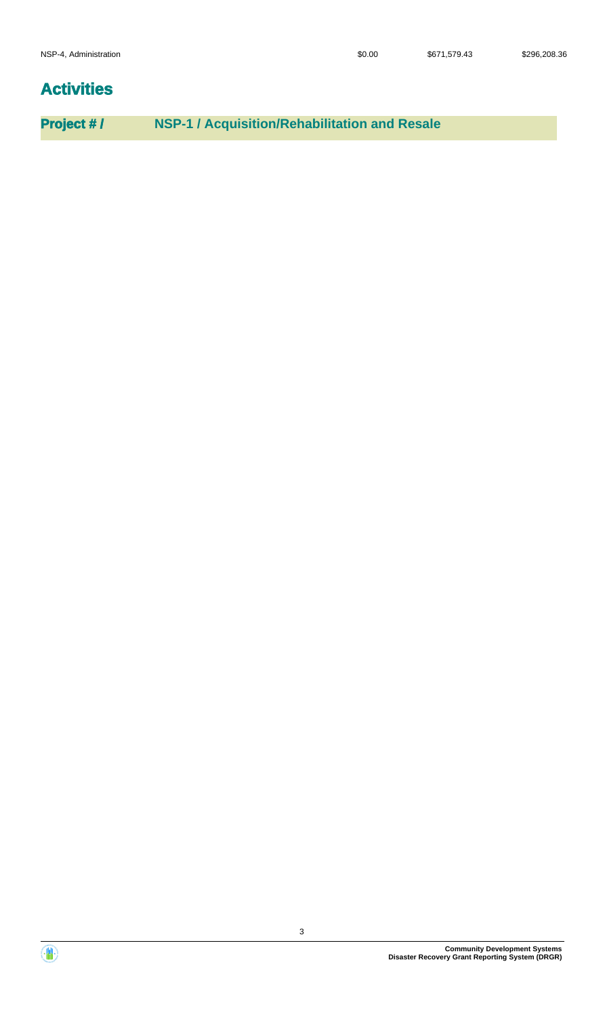# **Activities**

**Project # / NSP-1 / Acquisition/Rehabilitation and Resale**

**Community Development Systems Disaster Recovery Grant Reporting System (DRGR)**

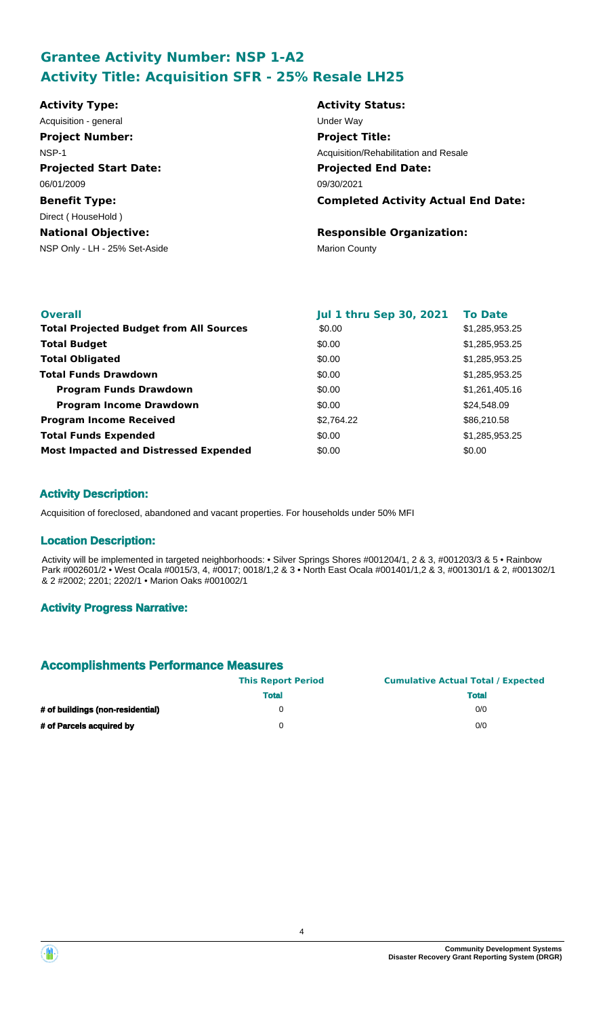# **Grantee Activity Number: NSP 1-A2 Activity Title: Acquisition SFR - 25% Resale LH25**

| <b>Activity Type:</b>         | <b>Activity Status:</b>                    |
|-------------------------------|--------------------------------------------|
| Acquisition - general         | Under Way                                  |
| <b>Project Number:</b>        | <b>Project Title:</b>                      |
| NSP-1                         | Acquisition/Rehabilitation and Resale      |
| <b>Projected Start Date:</b>  | <b>Projected End Date:</b>                 |
| 06/01/2009                    | 09/30/2021                                 |
| <b>Benefit Type:</b>          | <b>Completed Activity Actual End Date:</b> |
| Direct (HouseHold)            |                                            |
| <b>National Objective:</b>    | <b>Responsible Organization:</b>           |
| NSP Only - LH - 25% Set-Aside | <b>Marion County</b>                       |
|                               |                                            |
|                               |                                            |

| <b>Overall</b>                                 | <b>Jul 1 thru Sep 30, 2021</b> | <b>To Date</b> |
|------------------------------------------------|--------------------------------|----------------|
| <b>Total Projected Budget from All Sources</b> | \$0.00                         | \$1,285,953.25 |
| <b>Total Budget</b>                            | \$0.00                         | \$1,285,953.25 |
| <b>Total Obligated</b>                         | \$0.00                         | \$1,285,953.25 |
| <b>Total Funds Drawdown</b>                    | \$0.00                         | \$1,285,953.25 |
| <b>Program Funds Drawdown</b>                  | \$0.00                         | \$1,261,405.16 |
| <b>Program Income Drawdown</b>                 | \$0.00                         | \$24,548.09    |
| <b>Program Income Received</b>                 | \$2,764.22                     | \$86,210.58    |
| <b>Total Funds Expended</b>                    | \$0.00                         | \$1,285,953.25 |
| <b>Most Impacted and Distressed Expended</b>   | \$0.00                         | \$0.00         |

### **Activity Description:**

Acquisition of foreclosed, abandoned and vacant properties. For households under 50% MFI

#### **Location Description:**

Activity will be implemented in targeted neighborhoods: • Silver Springs Shores #001204/1, 2 & 3, #001203/3 & 5 • Rainbow Park #002601/2 • West Ocala #0015/3, 4, #0017; 0018/1,2 & 3 • North East Ocala #001401/1,2 & 3, #001301/1 & 2, #001302/1 & 2 #2002; 2201; 2202/1 • Marion Oaks #001002/1

#### **Activity Progress Narrative:**

### **Accomplishments Performance Measures**

|                                  | <b>This Report Period</b> | <b>Cumulative Actual Total / Expected</b> |
|----------------------------------|---------------------------|-------------------------------------------|
|                                  | <b>Total</b>              | <b>Total</b>                              |
| # of buildings (non-residential) |                           | 0/0                                       |
| # of Parcels acquired by         |                           | 0/0                                       |



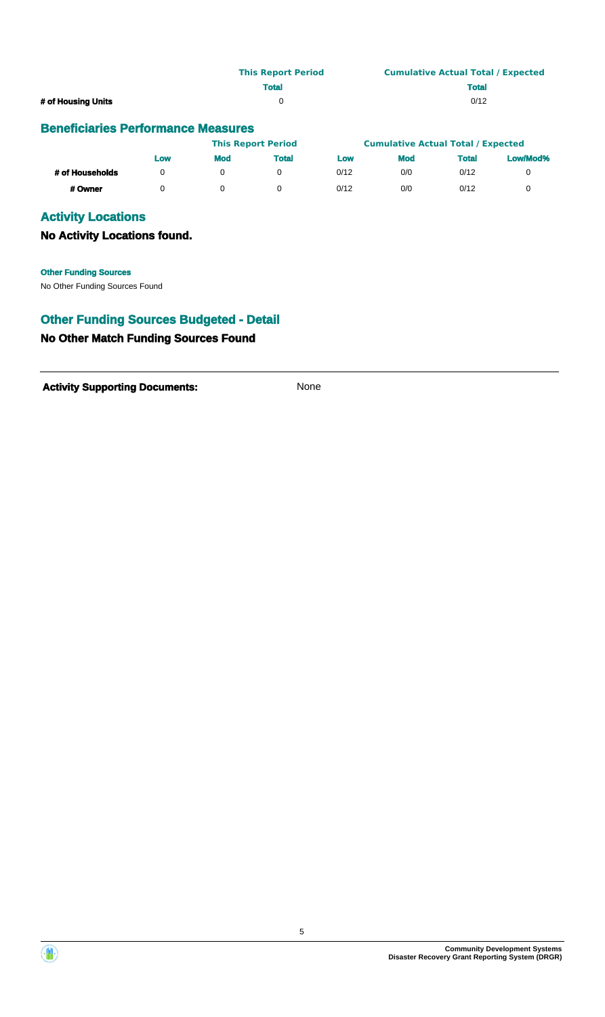|                                           | <b>This Report Period</b> | <b>Cumulative Actual Total / Expected</b> |  |  |  |
|-------------------------------------------|---------------------------|-------------------------------------------|--|--|--|
|                                           | <b>Total</b>              | <b>Total</b>                              |  |  |  |
| # of Housing Units                        |                           | 0/12                                      |  |  |  |
| <b>Beneficiaries Performance Measures</b> |                           |                                           |  |  |  |

|                 |     |     | <b>This Report Period</b> |      | <b>Cumulative Actual Total / Expected</b> |       |          |
|-----------------|-----|-----|---------------------------|------|-------------------------------------------|-------|----------|
|                 | Low | Mod | <b>Total</b>              | Low  | <b>Mod</b>                                | Total | Low/Mod% |
| # of Households |     |     |                           | 0/12 | 0/0                                       | 0/12  |          |
| # Owner         |     |     |                           | 0/12 | 0/0                                       | 0/12  |          |

# **Activity Locations**

### **No Activity Locations found.**

No Other Funding Sources Found **Other Funding Sources**

# **Other Funding Sources Budgeted - Detail**

# **No Other Match Funding Sources Found**

Activity **Supporting Documents:** None



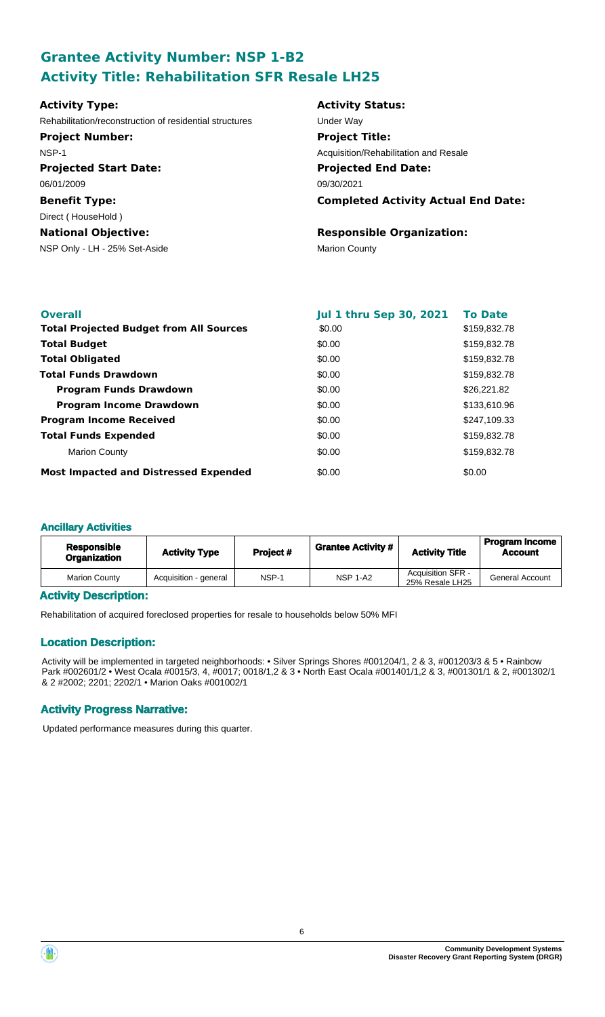# **Grantee Activity Number: NSP 1-B2 Activity Title: Rehabilitation SFR Resale LH25**

| <b>Activity Type:</b>                                   | <b>Activity Status:</b>                    |
|---------------------------------------------------------|--------------------------------------------|
| Rehabilitation/reconstruction of residential structures | Under Way                                  |
| <b>Project Number:</b>                                  | <b>Project Title:</b>                      |
| NSP-1                                                   | Acquisition/Rehabilitation and Resale      |
| <b>Projected Start Date:</b>                            | <b>Projected End Date:</b>                 |
| 06/01/2009                                              | 09/30/2021                                 |
| <b>Benefit Type:</b>                                    | <b>Completed Activity Actual End Date:</b> |
| Direct (HouseHold)                                      |                                            |
| <b>National Objective:</b>                              | <b>Responsible Organization:</b>           |
| NSP Only - LH - 25% Set-Aside                           | <b>Marion County</b>                       |

| <b>Overall</b>                                 | <b>Jul 1 thru Sep 30, 2021</b> | <b>To Date</b> |
|------------------------------------------------|--------------------------------|----------------|
| <b>Total Projected Budget from All Sources</b> | \$0.00                         | \$159,832.78   |
| <b>Total Budget</b>                            | \$0.00                         | \$159,832.78   |
| <b>Total Obligated</b>                         | \$0.00                         | \$159,832.78   |
| <b>Total Funds Drawdown</b>                    | \$0.00                         | \$159,832.78   |
| <b>Program Funds Drawdown</b>                  | \$0.00                         | \$26,221.82    |
| <b>Program Income Drawdown</b>                 | \$0.00                         | \$133,610.96   |
| <b>Program Income Received</b>                 | \$0.00                         | \$247,109.33   |
| <b>Total Funds Expended</b>                    | \$0.00                         | \$159,832.78   |
| <b>Marion County</b>                           | \$0.00                         | \$159,832.78   |
| <b>Most Impacted and Distressed Expended</b>   | \$0.00                         | \$0.00         |

### **Ancillary Activities**

| <b>Responsible</b><br><b>Organization</b> | <b>Activity Type</b>  | Project # | <b>Grantee Activity #</b> | <b>Activity Title</b>                       | <b>Program Income</b><br><b>Account</b> |
|-------------------------------------------|-----------------------|-----------|---------------------------|---------------------------------------------|-----------------------------------------|
| <b>Marion County</b>                      | Acquisition - general | NSP-1     | <b>NSP 1-A2</b>           | <b>Acquisition SFR -</b><br>25% Resale LH25 | <b>General Account</b>                  |

### **Activity Description:**

Rehabilitation of acquired foreclosed properties for resale to households below 50% MFI

### **Location Description:**

Activity will be implemented in targeted neighborhoods: • Silver Springs Shores #001204/1, 2 & 3, #001203/3 & 5 • Rainbow Park #002601/2 • West Ocala #0015/3, 4, #0017; 0018/1,2 & 3 • North East Ocala #001401/1,2 & 3, #001301/1 & 2, #001302/1 & 2 #2002; 2201; 2202/1 • Marion Oaks #001002/1

### **Activity Progress Narrative:**

Updated performance measures during this quarter.

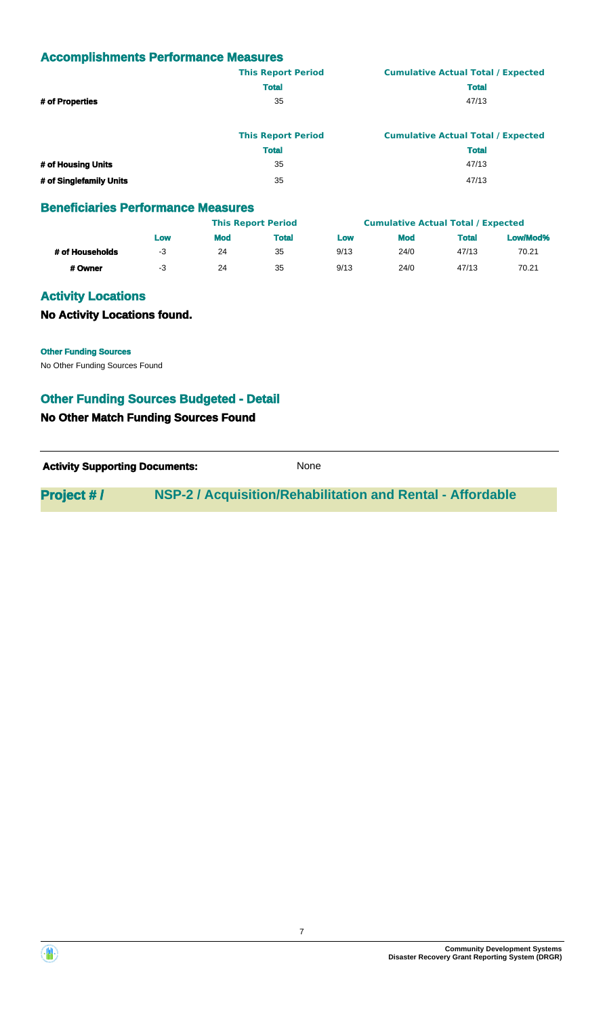# **Accomplishments Performance Measures**

|                    | <b>This Report Period</b> | <b>Cumulative Actual Total / Expected</b> |
|--------------------|---------------------------|-------------------------------------------|
|                    | <b>Total</b>              | <b>Total</b>                              |
| # of Properties    | 35                        | 47/13                                     |
|                    | <b>This Report Period</b> | <b>Cumulative Actual Total / Expected</b> |
|                    | <b>Total</b>              | <b>Total</b>                              |
| # of Housing Units | 35                        | 47/13                                     |

| # of Singlefamily Units                   | 35 | 47/13 |
|-------------------------------------------|----|-------|
| <b>Beneficiaries Performance Measures</b> |    |       |

|                 |     | <b>This Report Period</b> |              |      | <b>Cumulative Actual Total / Expected</b> |              |          |
|-----------------|-----|---------------------------|--------------|------|-------------------------------------------|--------------|----------|
|                 | Low | <b>Mod</b>                | <b>Total</b> | Low  | <b>Mod</b>                                | <b>Total</b> | Low/Mod% |
| # of Households | -3  | 24                        | 35           | 9/13 | 24/0                                      | 47/13        | 70.21    |
| # Owner         | -3  | 24                        | 35           | 9/13 | 24/0                                      | 47/13        | 70.21    |

### **Activity Locations**

### **No Activity Locations found.**

**Other Funding Sources**

No Other Funding Sources Found

# **Other Funding Sources Budgeted - Detail**

### **No Other Match Funding Sources Found**

Activity **Supporting Documents:** None

**Project # / NSP-2 / Acquisition/Rehabilitation and Rental - Affordable**



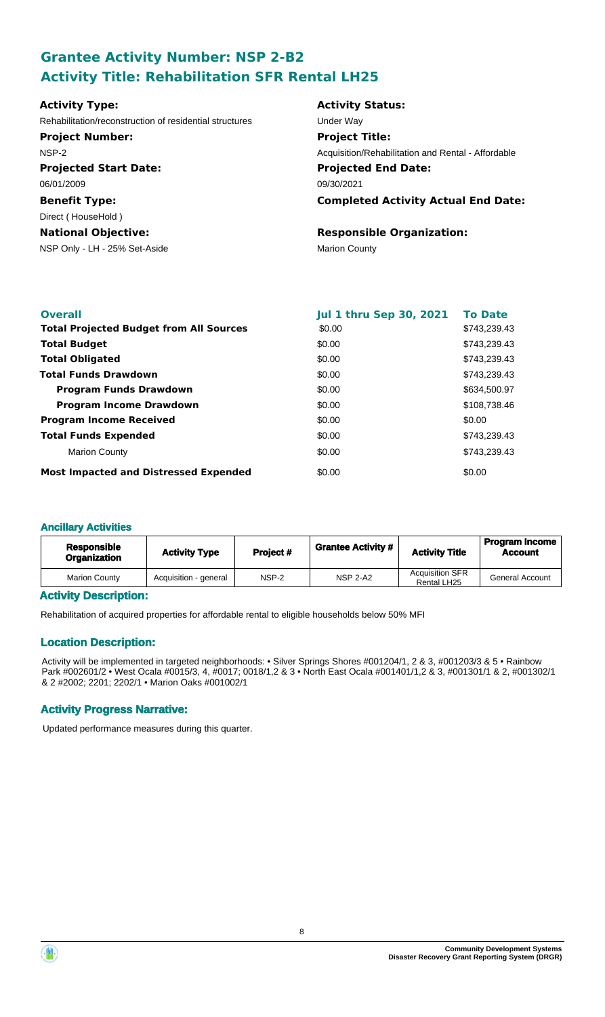# **Grantee Activity Number: NSP 2-B2 Activity Title: Rehabilitation SFR Rental LH25**

| <b>Activity Type:</b>                                   | <b>Activity Status:</b>                            |
|---------------------------------------------------------|----------------------------------------------------|
| Rehabilitation/reconstruction of residential structures | Under Wav                                          |
| <b>Project Number:</b>                                  | <b>Project Title:</b>                              |
| NSP-2                                                   | Acquisition/Rehabilitation and Rental - Affordable |
| <b>Projected Start Date:</b>                            | <b>Projected End Date:</b>                         |
| 06/01/2009                                              | 09/30/2021                                         |
| <b>Benefit Type:</b>                                    | <b>Completed Activity Actual End Date:</b>         |
| Direct (HouseHold)                                      |                                                    |
| <b>National Objective:</b>                              | <b>Responsible Organization:</b>                   |
| NSP Only - LH - 25% Set-Aside                           | <b>Marion County</b>                               |

| <b>Overall</b>                                 | <b>Jul 1 thru Sep 30, 2021</b> | <b>To Date</b> |
|------------------------------------------------|--------------------------------|----------------|
| <b>Total Projected Budget from All Sources</b> | \$0.00                         | \$743,239.43   |
| <b>Total Budget</b>                            | \$0.00                         | \$743,239.43   |
| <b>Total Obligated</b>                         | \$0.00                         | \$743,239.43   |
| <b>Total Funds Drawdown</b>                    | \$0.00                         | \$743,239.43   |
| <b>Program Funds Drawdown</b>                  | \$0.00                         | \$634,500.97   |
| <b>Program Income Drawdown</b>                 | \$0.00                         | \$108,738.46   |
| <b>Program Income Received</b>                 | \$0.00                         | \$0.00         |
| <b>Total Funds Expended</b>                    | \$0.00                         | \$743.239.43   |
| <b>Marion County</b>                           | \$0.00                         | \$743.239.43   |
| <b>Most Impacted and Distressed Expended</b>   | \$0.00                         | \$0.00         |

### **Ancillary Activities**

| <b>Responsible</b><br>Organization | <b>Activity Type</b>  | Project # | <b>Grantee Activity #</b> | <b>Activity Title</b>                 | <b>Program Income</b><br><b>Account</b> |
|------------------------------------|-----------------------|-----------|---------------------------|---------------------------------------|-----------------------------------------|
| <b>Marion County</b>               | Acquisition - general | NSP-2     | <b>NSP 2-A2</b>           | <b>Acquisition SFR</b><br>Rental LH25 | <b>General Account</b>                  |

### **Activity Description:**

Rehabilitation of acquired properties for affordable rental to eligible households below 50% MFI

### **Location Description:**

Activity will be implemented in targeted neighborhoods: • Silver Springs Shores #001204/1, 2 & 3, #001203/3 & 5 • Rainbow Park #002601/2 • West Ocala #0015/3, 4, #0017; 0018/1,2 & 3 • North East Ocala #001401/1,2 & 3, #001301/1 & 2, #001302/1 & 2 #2002; 2201; 2202/1 • Marion Oaks #001002/1

### **Activity Progress Narrative:**

Updated performance measures during this quarter.